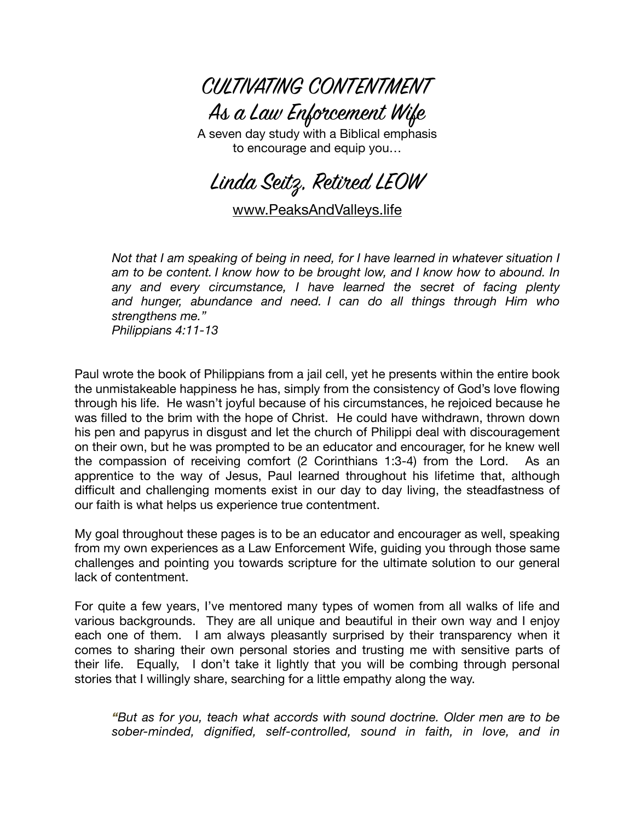

A seven day study with a Biblical emphasis to encourage and equip you…

Linda Seitz, Retired LEOW

[www.PeaksAndValleys.life](http://www.PeaksAndValleys.life)

*Not that I am speaking of being in need, for I have learned in whatever situation I am to be content. I know how to be brought low, and I know how to abound. In any and every circumstance, I have learned the secret of facing plenty and hunger, abundance and need. I can do all things through Him who strengthens me." Philippians 4:11-13* 

Paul wrote the book of Philippians from a jail cell, yet he presents within the entire book the unmistakeable happiness he has, simply from the consistency of God's love flowing through his life. He wasn't joyful because of his circumstances, he rejoiced because he was filled to the brim with the hope of Christ. He could have withdrawn, thrown down his pen and papyrus in disgust and let the church of Philippi deal with discouragement on their own, but he was prompted to be an educator and encourager, for he knew well the compassion of receiving comfort (2 Corinthians 1:3-4) from the Lord. As an apprentice to the way of Jesus, Paul learned throughout his lifetime that, although difficult and challenging moments exist in our day to day living, the steadfastness of our faith is what helps us experience true contentment.

My goal throughout these pages is to be an educator and encourager as well, speaking from my own experiences as a Law Enforcement Wife, guiding you through those same challenges and pointing you towards scripture for the ultimate solution to our general lack of contentment.

For quite a few years, I've mentored many types of women from all walks of life and various backgrounds. They are all unique and beautiful in their own way and I enjoy each one of them. I am always pleasantly surprised by their transparency when it comes to sharing their own personal stories and trusting me with sensitive parts of their life. Equally, I don't take it lightly that you will be combing through personal stories that I willingly share, searching for a little empathy along the way.

*"But as for you, teach what accords with sound doctrine. Older men are to be sober-minded, dignified, self-controlled, sound in faith, in love, and in*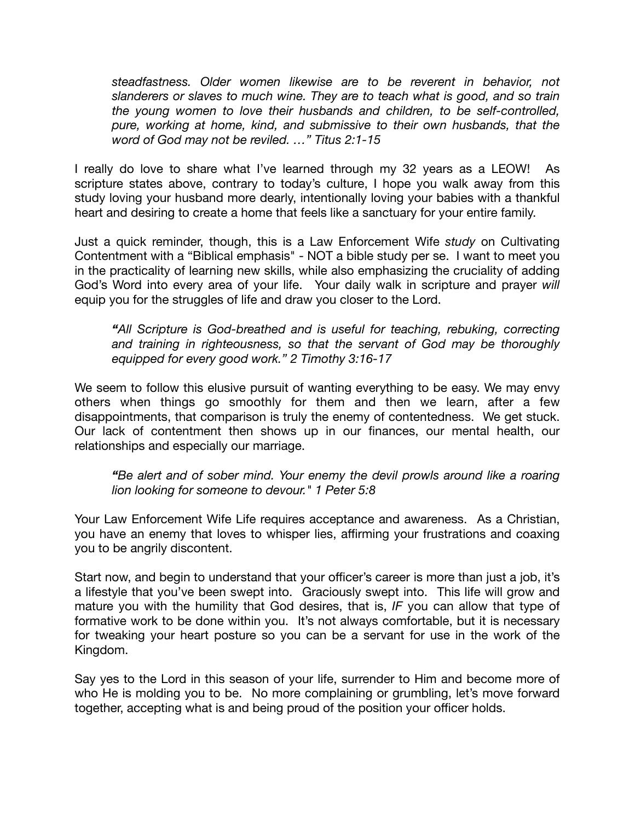*steadfastness. Older women likewise are to be reverent in behavior, not slanderers or slaves to much wine. They are to teach what is good, and so train the young women to love their husbands and children, to be self-controlled, pure, working at home, kind, and submissive to their own husbands, that the word of God may not be reviled. …" Titus 2:1-15*

I really do love to share what I've learned through my 32 years as a LEOW! As scripture states above, contrary to today's culture, I hope you walk away from this study loving your husband more dearly, intentionally loving your babies with a thankful heart and desiring to create a home that feels like a sanctuary for your entire family.

Just a quick reminder, though, this is a Law Enforcement Wife *study* on Cultivating Contentment with a "Biblical emphasis" - NOT a bible study per se. I want to meet you in the practicality of learning new skills, while also emphasizing the cruciality of adding God's Word into every area of your life. Your daily walk in scripture and prayer *will* equip you for the struggles of life and draw you closer to the Lord.

*"All Scripture is God-breathed and is useful for teaching, rebuking, correcting and training in righteousness, so that the servant of God may be thoroughly equipped for every good work." 2 Timothy 3:16-17*

We seem to follow this elusive pursuit of wanting everything to be easy. We may envy others when things go smoothly for them and then we learn, after a few disappointments, that comparison is truly the enemy of contentedness. We get stuck. Our lack of contentment then shows up in our finances, our mental health, our relationships and especially our marriage.

*"Be alert and of sober mind. Your enemy the devil prowls around like a roaring lion looking for someone to devour." 1 Peter 5:8* 

Your Law Enforcement Wife Life requires acceptance and awareness. As a Christian, you have an enemy that loves to whisper lies, affirming your frustrations and coaxing you to be angrily discontent.

Start now, and begin to understand that your officer's career is more than just a job, it's a lifestyle that you've been swept into. Graciously swept into. This life will grow and mature you with the humility that God desires, that is, *IF* you can allow that type of formative work to be done within you. It's not always comfortable, but it is necessary for tweaking your heart posture so you can be a servant for use in the work of the Kingdom.

Say yes to the Lord in this season of your life, surrender to Him and become more of who He is molding you to be. No more complaining or grumbling, let's move forward together, accepting what is and being proud of the position your officer holds.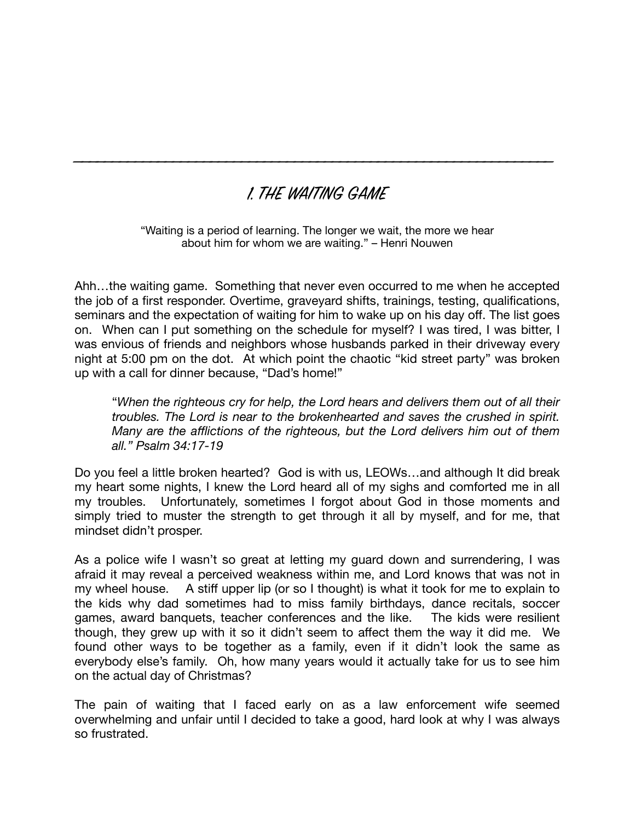## 1. THE WAITING GAME

\_\_\_\_\_\_\_\_\_\_\_\_\_\_\_\_\_\_\_\_\_\_\_\_\_\_\_\_\_\_\_\_\_\_\_\_\_\_\_\_\_\_\_\_\_\_\_\_\_\_\_\_\_\_\_\_\_\_\_\_\_\_\_

"Waiting is a period of learning. The longer we wait, the more we hear about him for whom we are waiting." – Henri Nouwen

Ahh…the waiting game. Something that never even occurred to me when he accepted the job of a first responder. Overtime, graveyard shifts, trainings, testing, qualifications, seminars and the expectation of waiting for him to wake up on his day off. The list goes on. When can I put something on the schedule for myself? I was tired, I was bitter, I was envious of friends and neighbors whose husbands parked in their driveway every night at 5:00 pm on the dot. At which point the chaotic "kid street party" was broken up with a call for dinner because, "Dad's home!"

"*When the righteous cry for help, the Lord hears and delivers them out of all their troubles. The Lord is near to the brokenhearted and saves the crushed in spirit. Many are the afflictions of the righteous, but the Lord delivers him out of them all." Psalm 34:17-19*

Do you feel a little broken hearted? God is with us, LEOWs…and although It did break my heart some nights, I knew the Lord heard all of my sighs and comforted me in all my troubles. Unfortunately, sometimes I forgot about God in those moments and simply tried to muster the strength to get through it all by myself, and for me, that mindset didn't prosper.

As a police wife I wasn't so great at letting my guard down and surrendering, I was afraid it may reveal a perceived weakness within me, and Lord knows that was not in my wheel house. A stiff upper lip (or so I thought) is what it took for me to explain to the kids why dad sometimes had to miss family birthdays, dance recitals, soccer games, award banquets, teacher conferences and the like. The kids were resilient though, they grew up with it so it didn't seem to affect them the way it did me. We found other ways to be together as a family, even if it didn't look the same as everybody else's family. Oh, how many years would it actually take for us to see him on the actual day of Christmas?

The pain of waiting that I faced early on as a law enforcement wife seemed overwhelming and unfair until I decided to take a good, hard look at why I was always so frustrated.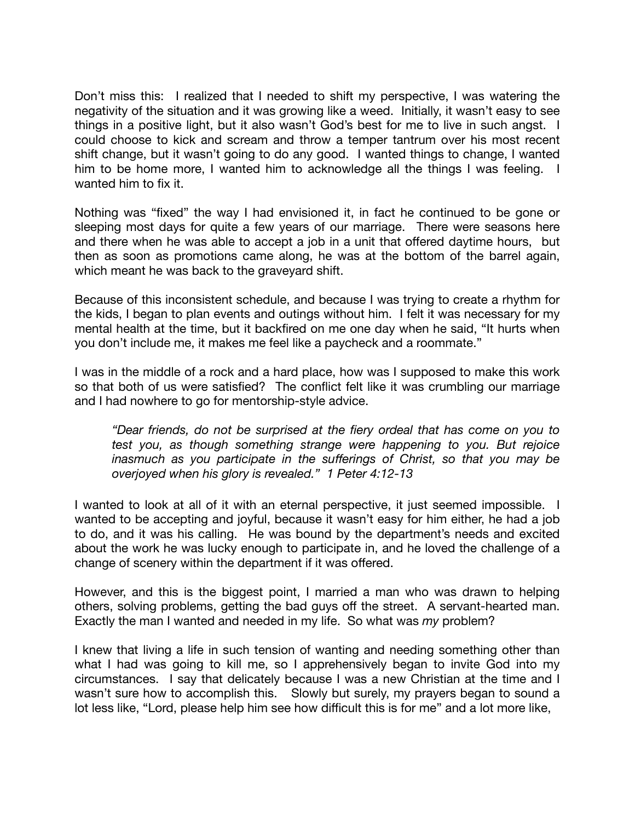Don't miss this: I realized that I needed to shift my perspective, I was watering the negativity of the situation and it was growing like a weed. Initially, it wasn't easy to see things in a positive light, but it also wasn't God's best for me to live in such angst. I could choose to kick and scream and throw a temper tantrum over his most recent shift change, but it wasn't going to do any good. I wanted things to change, I wanted him to be home more, I wanted him to acknowledge all the things I was feeling. I wanted him to fix it.

Nothing was "fixed" the way I had envisioned it, in fact he continued to be gone or sleeping most days for quite a few years of our marriage. There were seasons here and there when he was able to accept a job in a unit that offered daytime hours, but then as soon as promotions came along, he was at the bottom of the barrel again, which meant he was back to the graveyard shift.

Because of this inconsistent schedule, and because I was trying to create a rhythm for the kids, I began to plan events and outings without him. I felt it was necessary for my mental health at the time, but it backfired on me one day when he said, "It hurts when you don't include me, it makes me feel like a paycheck and a roommate."

I was in the middle of a rock and a hard place, how was I supposed to make this work so that both of us were satisfied? The conflict felt like it was crumbling our marriage and I had nowhere to go for mentorship-style advice.

*"Dear friends, do not be surprised at the fiery ordeal that has come on you to test you, as though something strange were happening to you. But rejoice inasmuch as you participate in the sufferings of Christ, so that you may be overjoyed when his glory is revealed." 1 Peter 4:12-13* 

I wanted to look at all of it with an eternal perspective, it just seemed impossible. I wanted to be accepting and joyful, because it wasn't easy for him either, he had a job to do, and it was his calling. He was bound by the department's needs and excited about the work he was lucky enough to participate in, and he loved the challenge of a change of scenery within the department if it was offered.

However, and this is the biggest point, I married a man who was drawn to helping others, solving problems, getting the bad guys off the street. A servant-hearted man. Exactly the man I wanted and needed in my life. So what was *my* problem?

I knew that living a life in such tension of wanting and needing something other than what I had was going to kill me, so I apprehensively began to invite God into my circumstances. I say that delicately because I was a new Christian at the time and I wasn't sure how to accomplish this. Slowly but surely, my prayers began to sound a lot less like, "Lord, please help him see how difficult this is for me" and a lot more like,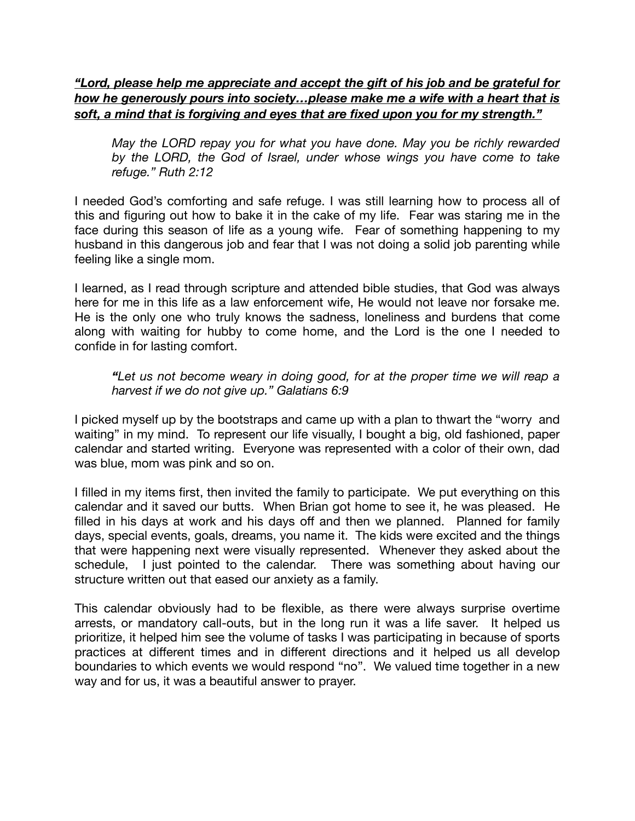*"Lord, please help me appreciate and accept the gift of his job and be grateful for how he generously pours into society…please make me a wife with a heart that is soft, a mind that is forgiving and eyes that are fixed upon you for my strength."* 

*May the LORD repay you for what you have done. May you be richly rewarded by the LORD, the God of Israel, under whose wings you have come to take refuge." Ruth 2:12* 

I needed God's comforting and safe refuge. I was still learning how to process all of this and figuring out how to bake it in the cake of my life. Fear was staring me in the face during this season of life as a young wife. Fear of something happening to my husband in this dangerous job and fear that I was not doing a solid job parenting while feeling like a single mom.

I learned, as I read through scripture and attended bible studies, that God was always here for me in this life as a law enforcement wife, He would not leave nor forsake me. He is the only one who truly knows the sadness, loneliness and burdens that come along with waiting for hubby to come home, and the Lord is the one I needed to confide in for lasting comfort.

#### *"Let us not become weary in doing good, for at the proper time we will reap a harvest if we do not give up." Galatians 6:9*

I picked myself up by the bootstraps and came up with a plan to thwart the "worry and waiting" in my mind. To represent our life visually, I bought a big, old fashioned, paper calendar and started writing. Everyone was represented with a color of their own, dad was blue, mom was pink and so on.

I filled in my items first, then invited the family to participate. We put everything on this calendar and it saved our butts. When Brian got home to see it, he was pleased. He filled in his days at work and his days off and then we planned. Planned for family days, special events, goals, dreams, you name it. The kids were excited and the things that were happening next were visually represented. Whenever they asked about the schedule, I just pointed to the calendar. There was something about having our structure written out that eased our anxiety as a family.

This calendar obviously had to be flexible, as there were always surprise overtime arrests, or mandatory call-outs, but in the long run it was a life saver. It helped us prioritize, it helped him see the volume of tasks I was participating in because of sports practices at different times and in different directions and it helped us all develop boundaries to which events we would respond "no". We valued time together in a new way and for us, it was a beautiful answer to prayer.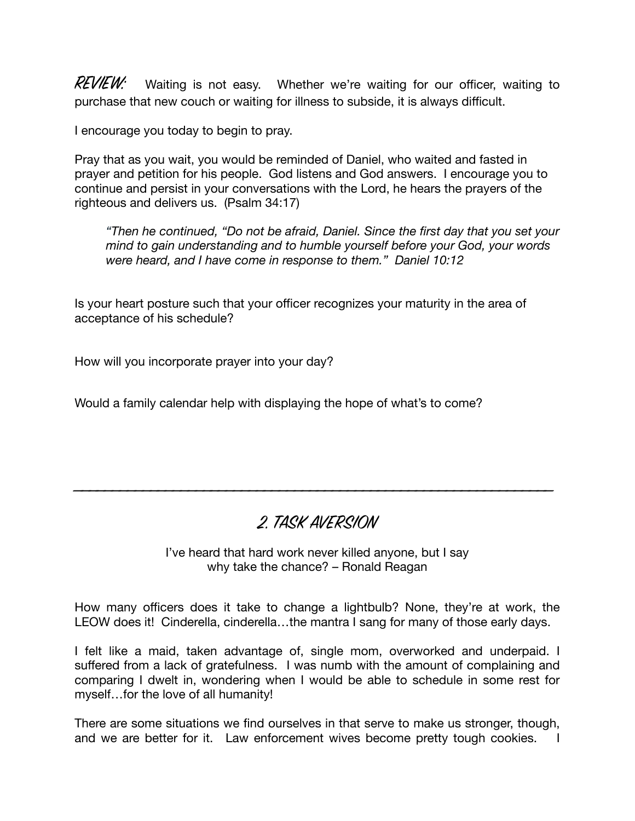$REVIEW:$  Waiting is not easy. Whether we're waiting for our officer, waiting to purchase that new couch or waiting for illness to subside, it is always difficult.

I encourage you today to begin to pray.

Pray that as you wait, you would be reminded of Daniel, who waited and fasted in prayer and petition for his people. God listens and God answers. I encourage you to continue and persist in your conversations with the Lord, he hears the prayers of the righteous and delivers us. (Psalm 34:17)

*"Then he continued, "Do not be afraid, Daniel. Since the first day that you set your mind to gain understanding and to humble yourself before your God, your words were heard, and I have come in response to them." Daniel 10:12* 

Is your heart posture such that your officer recognizes your maturity in the area of acceptance of his schedule?

How will you incorporate prayer into your day?

Would a family calendar help with displaying the hope of what's to come?

## 2. TASK AVERSION

\_\_\_\_\_\_\_\_\_\_\_\_\_\_\_\_\_\_\_\_\_\_\_\_\_\_\_\_\_\_\_\_\_\_\_\_\_\_\_\_\_\_\_\_\_\_\_\_\_\_\_\_\_\_\_\_\_\_\_\_\_\_\_

I've heard that hard work never killed anyone, but I say why take the chance? – Ronald Reagan

How many officers does it take to change a lightbulb? None, they're at work, the LEOW does it! Cinderella, cinderella…the mantra I sang for many of those early days.

I felt like a maid, taken advantage of, single mom, overworked and underpaid. I suffered from a lack of gratefulness. I was numb with the amount of complaining and comparing I dwelt in, wondering when I would be able to schedule in some rest for myself…for the love of all humanity!

There are some situations we find ourselves in that serve to make us stronger, though, and we are better for it. Law enforcement wives become pretty tough cookies.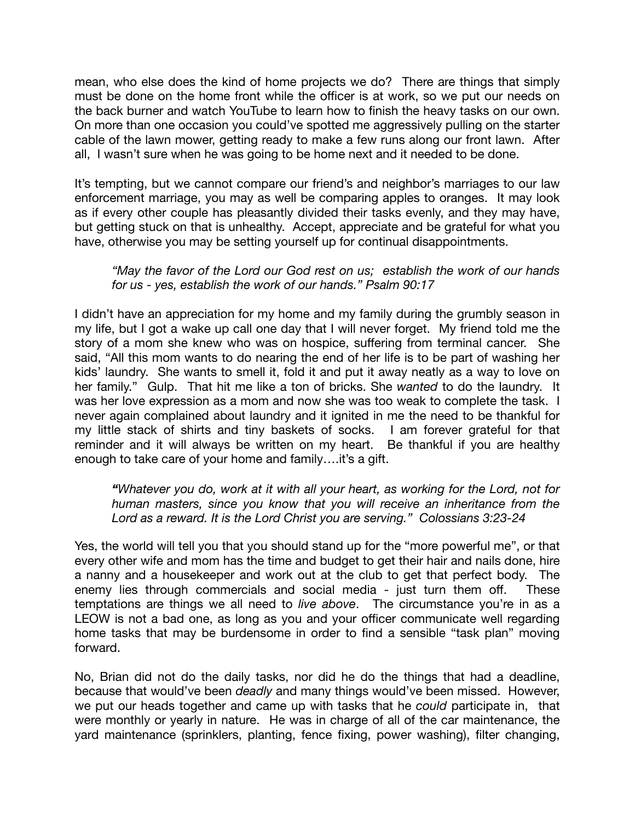mean, who else does the kind of home projects we do? There are things that simply must be done on the home front while the officer is at work, so we put our needs on the back burner and watch YouTube to learn how to finish the heavy tasks on our own. On more than one occasion you could've spotted me aggressively pulling on the starter cable of the lawn mower, getting ready to make a few runs along our front lawn. After all, I wasn't sure when he was going to be home next and it needed to be done.

It's tempting, but we cannot compare our friend's and neighbor's marriages to our law enforcement marriage, you may as well be comparing apples to oranges. It may look as if every other couple has pleasantly divided their tasks evenly, and they may have, but getting stuck on that is unhealthy. Accept, appreciate and be grateful for what you have, otherwise you may be setting yourself up for continual disappointments.

#### *"May the favor of the Lord our God rest on us; establish the work of our hands for us - yes, establish the work of our hands." Psalm 90:17*

I didn't have an appreciation for my home and my family during the grumbly season in my life, but I got a wake up call one day that I will never forget. My friend told me the story of a mom she knew who was on hospice, suffering from terminal cancer. She said, "All this mom wants to do nearing the end of her life is to be part of washing her kids' laundry. She wants to smell it, fold it and put it away neatly as a way to love on her family." Gulp. That hit me like a ton of bricks. She *wanted* to do the laundry. It was her love expression as a mom and now she was too weak to complete the task. I never again complained about laundry and it ignited in me the need to be thankful for my little stack of shirts and tiny baskets of socks. I am forever grateful for that reminder and it will always be written on my heart. Be thankful if you are healthy enough to take care of your home and family….it's a gift.

*"Whatever you do, work at it with all your heart, as working for the Lord, not for human masters, since you know that you will receive an inheritance from the Lord as a reward. It is the Lord Christ you are serving." Colossians 3:23-24* 

Yes, the world will tell you that you should stand up for the "more powerful me", or that every other wife and mom has the time and budget to get their hair and nails done, hire a nanny and a housekeeper and work out at the club to get that perfect body. The enemy lies through commercials and social media - just turn them off. These temptations are things we all need to *live above*. The circumstance you're in as a LEOW is not a bad one, as long as you and your officer communicate well regarding home tasks that may be burdensome in order to find a sensible "task plan" moving forward.

No, Brian did not do the daily tasks, nor did he do the things that had a deadline, because that would've been *deadly* and many things would've been missed. However, we put our heads together and came up with tasks that he *could* participate in, that were monthly or yearly in nature. He was in charge of all of the car maintenance, the yard maintenance (sprinklers, planting, fence fixing, power washing), filter changing,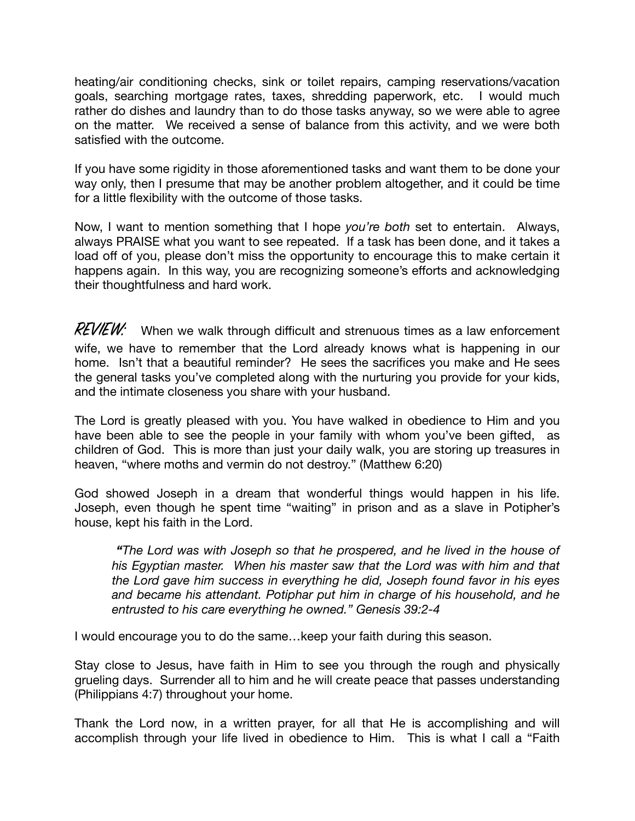heating/air conditioning checks, sink or toilet repairs, camping reservations/vacation goals, searching mortgage rates, taxes, shredding paperwork, etc. I would much rather do dishes and laundry than to do those tasks anyway, so we were able to agree on the matter. We received a sense of balance from this activity, and we were both satisfied with the outcome.

If you have some rigidity in those aforementioned tasks and want them to be done your way only, then I presume that may be another problem altogether, and it could be time for a little flexibility with the outcome of those tasks.

Now, I want to mention something that I hope *you're both* set to entertain. Always, always PRAISE what you want to see repeated. If a task has been done, and it takes a load off of you, please don't miss the opportunity to encourage this to make certain it happens again. In this way, you are recognizing someone's efforts and acknowledging their thoughtfulness and hard work.

 $REVIEW:$  When we walk through difficult and strenuous times as a law enforcement wife, we have to remember that the Lord already knows what is happening in our home. Isn't that a beautiful reminder? He sees the sacrifices you make and He sees the general tasks you've completed along with the nurturing you provide for your kids, and the intimate closeness you share with your husband.

The Lord is greatly pleased with you. You have walked in obedience to Him and you have been able to see the people in your family with whom you've been gifted, as children of God. This is more than just your daily walk, you are storing up treasures in heaven, "where moths and vermin do not destroy." (Matthew 6:20)

God showed Joseph in a dream that wonderful things would happen in his life. Joseph, even though he spent time "waiting" in prison and as a slave in Potipher's house, kept his faith in the Lord.

*"The Lord was with Joseph so that he prospered, and he lived in the house of his Egyptian master. When his master saw that the Lord was with him and that the Lord gave him success in everything he did, Joseph found favor in his eyes and became his attendant. Potiphar put him in charge of his household, and he entrusted to his care everything he owned." Genesis 39:2-4* 

I would encourage you to do the same…keep your faith during this season.

Stay close to Jesus, have faith in Him to see you through the rough and physically grueling days. Surrender all to him and he will create peace that passes understanding (Philippians 4:7) throughout your home.

Thank the Lord now, in a written prayer, for all that He is accomplishing and will accomplish through your life lived in obedience to Him. This is what I call a "Faith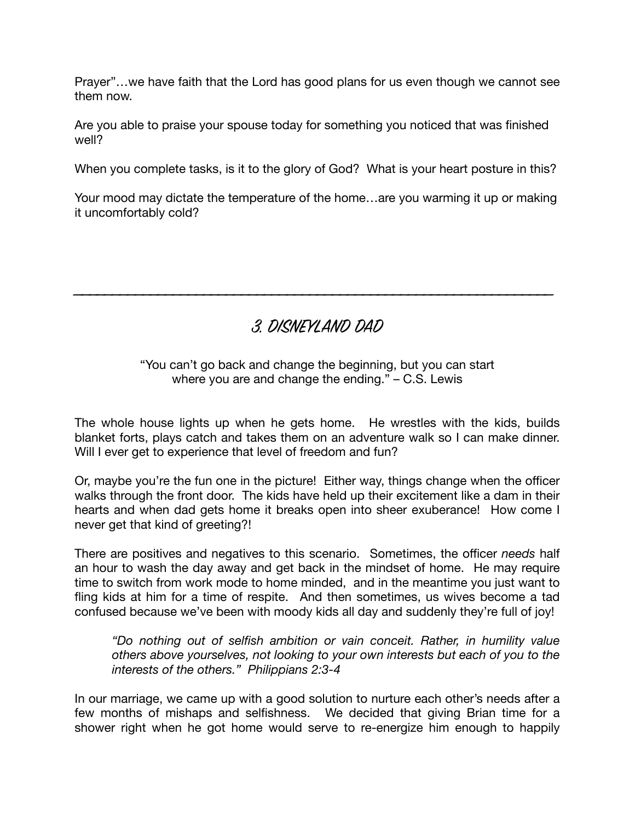Prayer"…we have faith that the Lord has good plans for us even though we cannot see them now.

Are you able to praise your spouse today for something you noticed that was finished well?

When you complete tasks, is it to the glory of God? What is your heart posture in this?

Your mood may dictate the temperature of the home…are you warming it up or making it uncomfortably cold?

3. DISNEYLAND DAD

\_\_\_\_\_\_\_\_\_\_\_\_\_\_\_\_\_\_\_\_\_\_\_\_\_\_\_\_\_\_\_\_\_\_\_\_\_\_\_\_\_\_\_\_\_\_\_\_\_\_\_\_\_\_\_\_\_\_\_\_\_\_\_

#### "You can't go back and change the beginning, but you can start where you are and change the ending." – C.S. Lewis

The whole house lights up when he gets home. He wrestles with the kids, builds blanket forts, plays catch and takes them on an adventure walk so I can make dinner. Will I ever get to experience that level of freedom and fun?

Or, maybe you're the fun one in the picture! Either way, things change when the officer walks through the front door. The kids have held up their excitement like a dam in their hearts and when dad gets home it breaks open into sheer exuberance! How come I never get that kind of greeting?!

There are positives and negatives to this scenario. Sometimes, the officer *needs* half an hour to wash the day away and get back in the mindset of home. He may require time to switch from work mode to home minded, and in the meantime you just want to fling kids at him for a time of respite. And then sometimes, us wives become a tad confused because we've been with moody kids all day and suddenly they're full of joy!

*"Do nothing out of selfish ambition or vain conceit. Rather, in humility value others above yourselves, not looking to your own interests but each of you to the interests of the others." Philippians 2:3-4* 

In our marriage, we came up with a good solution to nurture each other's needs after a few months of mishaps and selfishness. We decided that giving Brian time for a shower right when he got home would serve to re-energize him enough to happily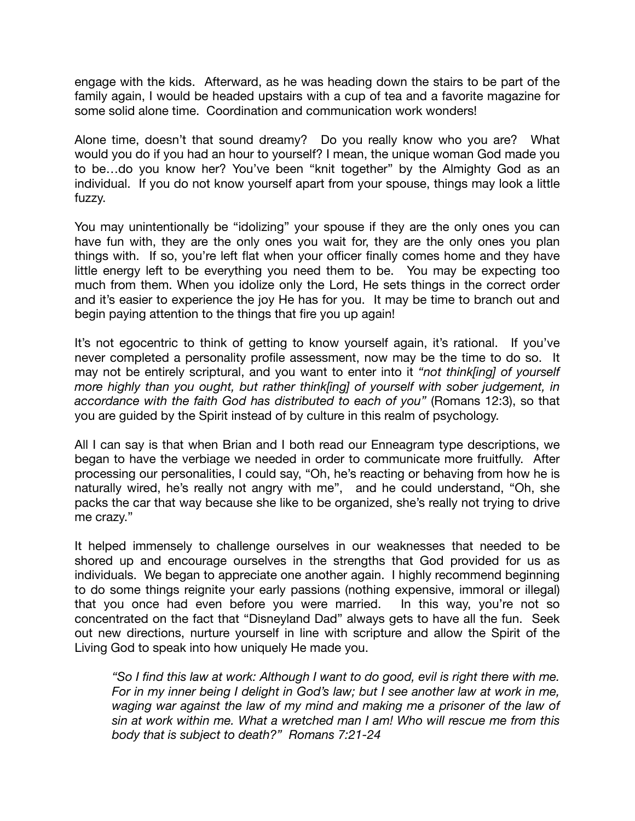engage with the kids. Afterward, as he was heading down the stairs to be part of the family again, I would be headed upstairs with a cup of tea and a favorite magazine for some solid alone time. Coordination and communication work wonders!

Alone time, doesn't that sound dreamy? Do you really know who you are? What would you do if you had an hour to yourself? I mean, the unique woman God made you to be…do you know her? You've been "knit together" by the Almighty God as an individual. If you do not know yourself apart from your spouse, things may look a little fuzzy.

You may unintentionally be "idolizing" your spouse if they are the only ones you can have fun with, they are the only ones you wait for, they are the only ones you plan things with. If so, you're left flat when your officer finally comes home and they have little energy left to be everything you need them to be. You may be expecting too much from them. When you idolize only the Lord, He sets things in the correct order and it's easier to experience the joy He has for you. It may be time to branch out and begin paying attention to the things that fire you up again!

It's not egocentric to think of getting to know yourself again, it's rational. If you've never completed a personality profile assessment, now may be the time to do so. It may not be entirely scriptural, and you want to enter into it *"not think[ing] of yourself more highly than you ought, but rather think[ing] of yourself with sober judgement, in accordance with the faith God has distributed to each of you"* (Romans 12:3), so that you are guided by the Spirit instead of by culture in this realm of psychology.

All I can say is that when Brian and I both read our Enneagram type descriptions, we began to have the verbiage we needed in order to communicate more fruitfully. After processing our personalities, I could say, "Oh, he's reacting or behaving from how he is naturally wired, he's really not angry with me", and he could understand, "Oh, she packs the car that way because she like to be organized, she's really not trying to drive me crazy."

It helped immensely to challenge ourselves in our weaknesses that needed to be shored up and encourage ourselves in the strengths that God provided for us as individuals. We began to appreciate one another again. I highly recommend beginning to do some things reignite your early passions (nothing expensive, immoral or illegal) that you once had even before you were married. In this way, you're not so concentrated on the fact that "Disneyland Dad" always gets to have all the fun. Seek out new directions, nurture yourself in line with scripture and allow the Spirit of the Living God to speak into how uniquely He made you.

*"So I find this law at work: Although I want to do good, evil is right there with me. For in my inner being I delight in God's law; but I see another law at work in me,*  waging war against the law of my mind and making me a prisoner of the law of *sin at work within me. What a wretched man I am! Who will rescue me from this body that is subject to death?" Romans 7:21-24*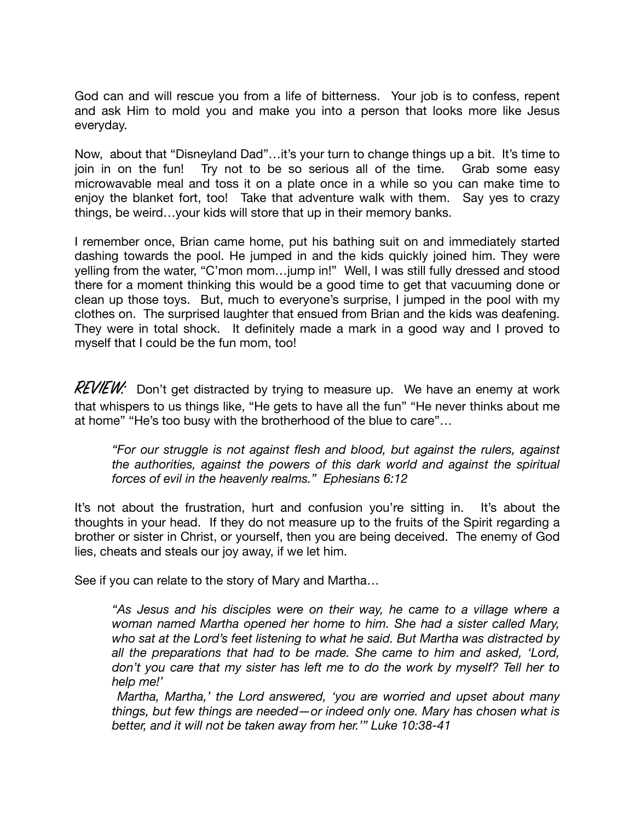God can and will rescue you from a life of bitterness. Your job is to confess, repent and ask Him to mold you and make you into a person that looks more like Jesus everyday.

Now, about that "Disneyland Dad"…it's your turn to change things up a bit. It's time to join in on the fun! Try not to be so serious all of the time. Grab some easy microwavable meal and toss it on a plate once in a while so you can make time to enjoy the blanket fort, too! Take that adventure walk with them. Say yes to crazy things, be weird…your kids will store that up in their memory banks.

I remember once, Brian came home, put his bathing suit on and immediately started dashing towards the pool. He jumped in and the kids quickly joined him. They were yelling from the water, "C'mon mom…jump in!" Well, I was still fully dressed and stood there for a moment thinking this would be a good time to get that vacuuming done or clean up those toys. But, much to everyone's surprise, I jumped in the pool with my clothes on. The surprised laughter that ensued from Brian and the kids was deafening. They were in total shock. It definitely made a mark in a good way and I proved to myself that I could be the fun mom, too!

 $REVIEW:$  Don't get distracted by trying to measure up. We have an enemy at work that whispers to us things like, "He gets to have all the fun" "He never thinks about me at home" "He's too busy with the brotherhood of the blue to care"…

*"For our struggle is not against flesh and blood, but against the rulers, against the authorities, against the powers of this dark world and against the spiritual forces of evil in the heavenly realms." Ephesians 6:12*

It's not about the frustration, hurt and confusion you're sitting in. It's about the thoughts in your head. If they do not measure up to the fruits of the Spirit regarding a brother or sister in Christ, or yourself, then you are being deceived. The enemy of God lies, cheats and steals our joy away, if we let him.

See if you can relate to the story of Mary and Martha…

*"As Jesus and his disciples were on their way, he came to a village where a woman named Martha opened her home to him. She had a sister called Mary, who sat at the Lord's feet listening to what he said. But Martha was distracted by all the preparations that had to be made. She came to him and asked, 'Lord, don't you care that my sister has left me to do the work by myself? Tell her to help me!'* 

*Martha, Martha,' the Lord answered, 'you are worried and upset about many things, but few things are needed—or indeed only one. Mary has chosen what is better, and it will not be taken away from her.'" Luke 10:38-41*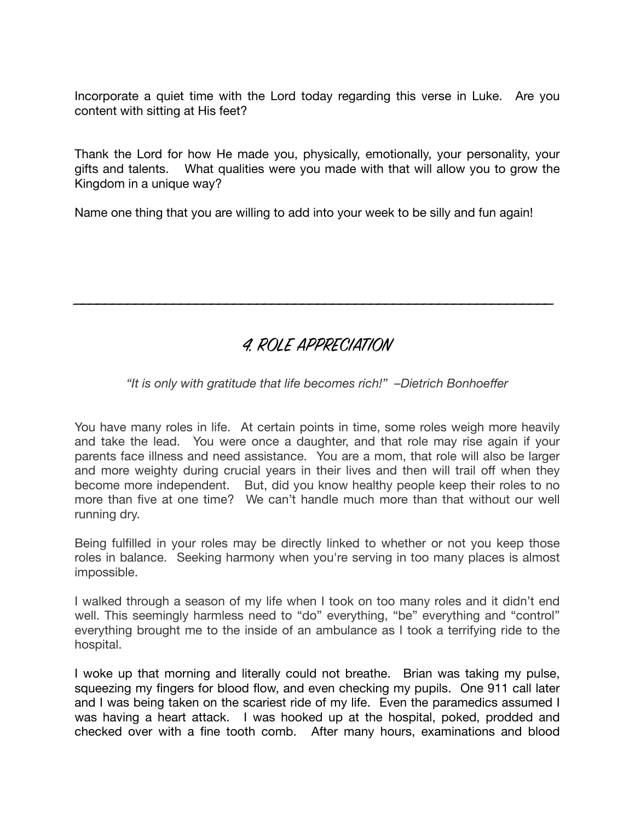Incorporate a quiet time with the Lord today regarding this verse in Luke. Are you content with sitting at His feet?

Thank the Lord for how He made you, physically, emotionally, your personality, your gifts and talents. What qualities were you made with that will allow you to grow the Kingdom in a unique way?

Name one thing that you are willing to add into your week to be silly and fun again!

## 4. ROLE APPRECIATION

\_\_\_\_\_\_\_\_\_\_\_\_\_\_\_\_\_\_\_\_\_\_\_\_\_\_\_\_\_\_\_\_\_\_\_\_\_\_\_\_\_\_\_\_\_\_\_\_\_\_\_\_\_\_\_\_\_\_\_\_\_\_\_

### *"It is only with gratitude that life becomes rich!" –Dietrich Bonhoeffer*

You have many roles in life. At certain points in time, some roles weigh more heavily and take the lead. You were once a daughter, and that role may rise again if your parents face illness and need assistance. You are a mom, that role will also be larger and more weighty during crucial years in their lives and then will trail off when they become more independent. But, did you know healthy people keep their roles to no more than five at one time? We can't handle much more than that without our well running dry.

Being fulfilled in your roles may be directly linked to whether or not you keep those roles in balance. Seeking harmony when you're serving in too many places is almost impossible.

I walked through a season of my life when I took on too many roles and it didn't end well. This seemingly harmless need to "do" everything, "be" everything and "control" everything brought me to the inside of an ambulance as I took a terrifying ride to the hospital.

I woke up that morning and literally could not breathe. Brian was taking my pulse, squeezing my fingers for blood flow, and even checking my pupils. One 911 call later and I was being taken on the scariest ride of my life. Even the paramedics assumed I was having a heart attack. I was hooked up at the hospital, poked, prodded and checked over with a fine tooth comb. After many hours, examinations and blood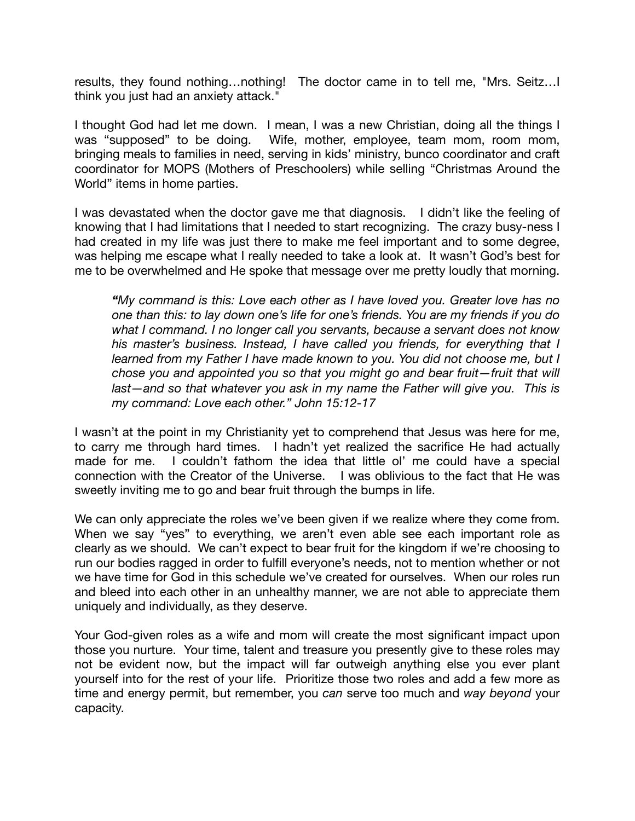results, they found nothing…nothing! The doctor came in to tell me, "Mrs. Seitz…I think you just had an anxiety attack."

I thought God had let me down. I mean, I was a new Christian, doing all the things I was "supposed" to be doing. Wife, mother, employee, team mom, room mom, bringing meals to families in need, serving in kids' ministry, bunco coordinator and craft coordinator for MOPS (Mothers of Preschoolers) while selling "Christmas Around the World" items in home parties.

I was devastated when the doctor gave me that diagnosis. I didn't like the feeling of knowing that I had limitations that I needed to start recognizing. The crazy busy-ness I had created in my life was just there to make me feel important and to some degree, was helping me escape what I really needed to take a look at. It wasn't God's best for me to be overwhelmed and He spoke that message over me pretty loudly that morning.

*"My command is this: Love each other as I have loved you. Greater love has no one than this: to lay down one's life for one's friends. You are my friends if you do what I command. I no longer call you servants, because a servant does not know his master's business. Instead, I have called you friends, for everything that I learned from my Father I have made known to you. You did not choose me, but I chose you and appointed you so that you might go and bear fruit—fruit that will*  last—and so that whatever you ask in my name the Father will give you. This is *my command: Love each other." John 15:12-17* 

I wasn't at the point in my Christianity yet to comprehend that Jesus was here for me, to carry me through hard times. I hadn't yet realized the sacrifice He had actually made for me. I couldn't fathom the idea that little ol' me could have a special connection with the Creator of the Universe. I was oblivious to the fact that He was sweetly inviting me to go and bear fruit through the bumps in life.

We can only appreciate the roles we've been given if we realize where they come from. When we say "yes" to everything, we aren't even able see each important role as clearly as we should. We can't expect to bear fruit for the kingdom if we're choosing to run our bodies ragged in order to fulfill everyone's needs, not to mention whether or not we have time for God in this schedule we've created for ourselves. When our roles run and bleed into each other in an unhealthy manner, we are not able to appreciate them uniquely and individually, as they deserve.

Your God-given roles as a wife and mom will create the most significant impact upon those you nurture. Your time, talent and treasure you presently give to these roles may not be evident now, but the impact will far outweigh anything else you ever plant yourself into for the rest of your life. Prioritize those two roles and add a few more as time and energy permit, but remember, you *can* serve too much and *way beyond* your capacity.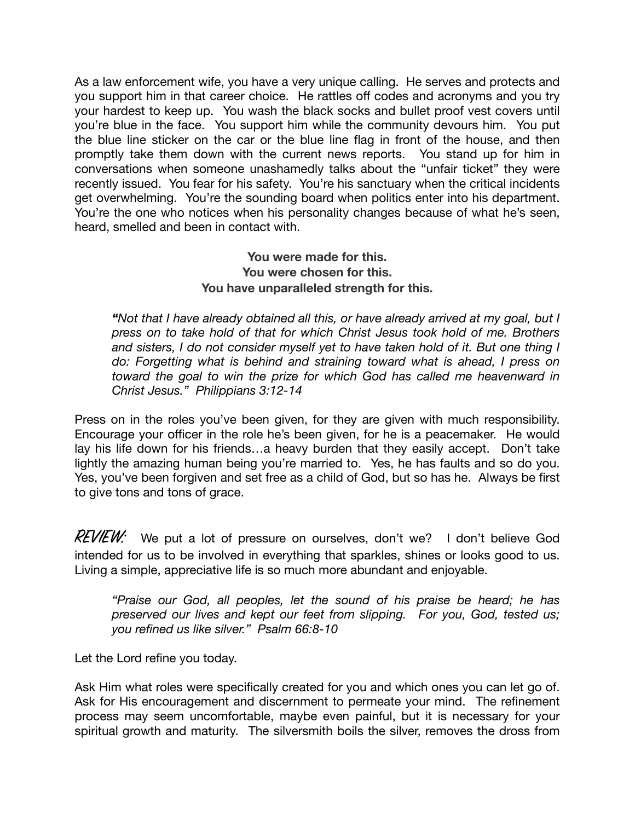As a law enforcement wife, you have a very unique calling. He serves and protects and you support him in that career choice. He rattles off codes and acronyms and you try your hardest to keep up. You wash the black socks and bullet proof vest covers until you're blue in the face. You support him while the community devours him. You put the blue line sticker on the car or the blue line flag in front of the house, and then promptly take them down with the current news reports. You stand up for him in conversations when someone unashamedly talks about the "unfair ticket" they were recently issued. You fear for his safety. You're his sanctuary when the critical incidents get overwhelming. You're the sounding board when politics enter into his department. You're the one who notices when his personality changes because of what he's seen, heard, smelled and been in contact with.

#### **You were made for this. You were chosen for this. You have unparalleled strength for this.**

*"Not that I have already obtained all this, or have already arrived at my goal, but I press on to take hold of that for which Christ Jesus took hold of me. Brothers and sisters, I do not consider myself yet to have taken hold of it. But one thing I do: Forgetting what is behind and straining toward what is ahead, I press on toward the goal to win the prize for which God has called me heavenward in Christ Jesus." Philippians 3:12-14* 

Press on in the roles you've been given, for they are given with much responsibility. Encourage your officer in the role he's been given, for he is a peacemaker. He would lay his life down for his friends…a heavy burden that they easily accept. Don't take lightly the amazing human being you're married to. Yes, he has faults and so do you. Yes, you've been forgiven and set free as a child of God, but so has he. Always be first to give tons and tons of grace.

 $REVIEW:$  We put a lot of pressure on ourselves, don't we? I don't believe God intended for us to be involved in everything that sparkles, shines or looks good to us. Living a simple, appreciative life is so much more abundant and enjoyable.

*"Praise our God, all peoples, let the sound of his praise be heard; he has preserved our lives and kept our feet from slipping. For you, God, tested us; you refined us like silver." Psalm 66:8-10* 

Let the Lord refine you today.

Ask Him what roles were specifically created for you and which ones you can let go of. Ask for His encouragement and discernment to permeate your mind. The refinement process may seem uncomfortable, maybe even painful, but it is necessary for your spiritual growth and maturity. The silversmith boils the silver, removes the dross from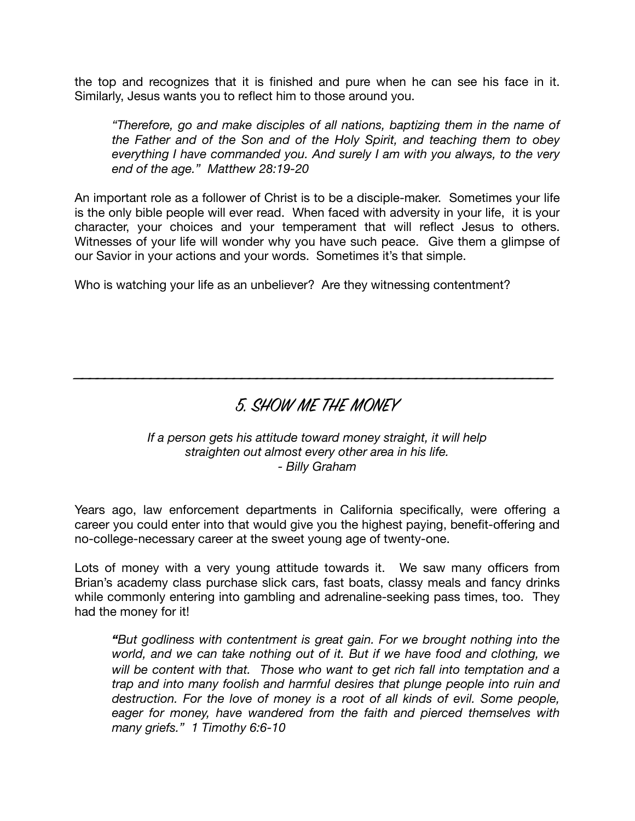the top and recognizes that it is finished and pure when he can see his face in it. Similarly, Jesus wants you to reflect him to those around you.

*"Therefore, go and make disciples of all nations, baptizing them in the name of the Father and of the Son and of the Holy Spirit, and teaching them to obey everything I have commanded you. And surely I am with you always, to the very end of the age." Matthew 28:19-20* 

An important role as a follower of Christ is to be a disciple-maker. Sometimes your life is the only bible people will ever read. When faced with adversity in your life, it is your character, your choices and your temperament that will reflect Jesus to others. Witnesses of your life will wonder why you have such peace. Give them a glimpse of our Savior in your actions and your words. Sometimes it's that simple.

Who is watching your life as an unbeliever? Are they witnessing contentment?

## 5. SHOW ME THE MONEY

\_\_\_\_\_\_\_\_\_\_\_\_\_\_\_\_\_\_\_\_\_\_\_\_\_\_\_\_\_\_\_\_\_\_\_\_\_\_\_\_\_\_\_\_\_\_\_\_\_\_\_\_\_\_\_\_\_\_\_\_\_\_\_

#### *If a person gets his attitude toward money straight, it will help straighten out almost every other area in his life. - Billy Graham*

Years ago, law enforcement departments in California specifically, were offering a career you could enter into that would give you the highest paying, benefit-offering and no-college-necessary career at the sweet young age of twenty-one.

Lots of money with a very young attitude towards it. We saw many officers from Brian's academy class purchase slick cars, fast boats, classy meals and fancy drinks while commonly entering into gambling and adrenaline-seeking pass times, too. They had the money for it!

*"But godliness with contentment is great gain. For we brought nothing into the world, and we can take nothing out of it. But if we have food and clothing, we will be content with that. Those who want to get rich fall into temptation and a trap and into many foolish and harmful desires that plunge people into ruin and destruction. For the love of money is a root of all kinds of evil. Some people, eager for money, have wandered from the faith and pierced themselves with many griefs." 1 Timothy 6:6-10*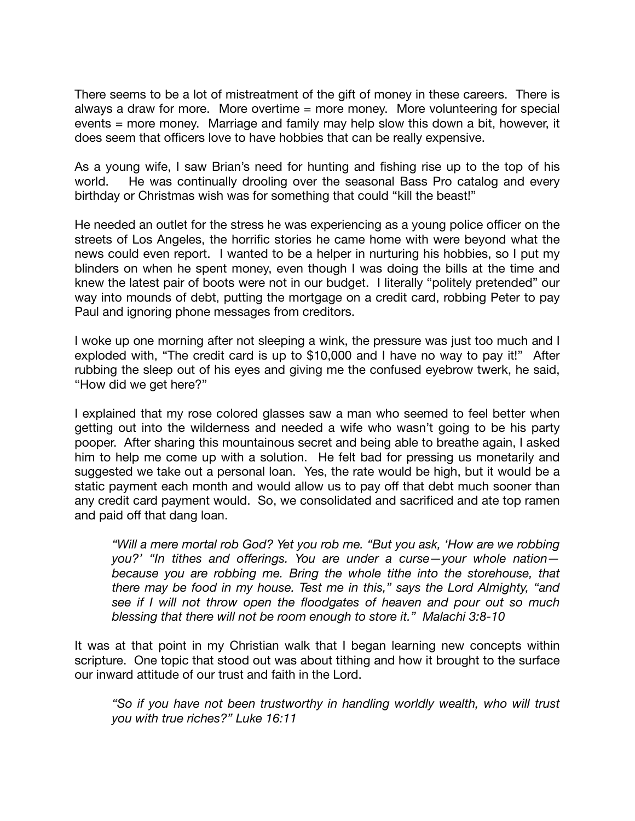There seems to be a lot of mistreatment of the gift of money in these careers. There is always a draw for more. More overtime = more money. More volunteering for special events = more money. Marriage and family may help slow this down a bit, however, it does seem that officers love to have hobbies that can be really expensive.

As a young wife, I saw Brian's need for hunting and fishing rise up to the top of his world. He was continually drooling over the seasonal Bass Pro catalog and every birthday or Christmas wish was for something that could "kill the beast!"

He needed an outlet for the stress he was experiencing as a young police officer on the streets of Los Angeles, the horrific stories he came home with were beyond what the news could even report. I wanted to be a helper in nurturing his hobbies, so I put my blinders on when he spent money, even though I was doing the bills at the time and knew the latest pair of boots were not in our budget. I literally "politely pretended" our way into mounds of debt, putting the mortgage on a credit card, robbing Peter to pay Paul and ignoring phone messages from creditors.

I woke up one morning after not sleeping a wink, the pressure was just too much and I exploded with, "The credit card is up to \$10,000 and I have no way to pay it!" After rubbing the sleep out of his eyes and giving me the confused eyebrow twerk, he said, "How did we get here?"

I explained that my rose colored glasses saw a man who seemed to feel better when getting out into the wilderness and needed a wife who wasn't going to be his party pooper. After sharing this mountainous secret and being able to breathe again, I asked him to help me come up with a solution. He felt bad for pressing us monetarily and suggested we take out a personal loan. Yes, the rate would be high, but it would be a static payment each month and would allow us to pay off that debt much sooner than any credit card payment would. So, we consolidated and sacrificed and ate top ramen and paid off that dang loan.

*"Will a mere mortal rob God? Yet you rob me. "But you ask, 'How are we robbing you?' "In tithes and offerings. You are under a curse—your whole nation because you are robbing me. Bring the whole tithe into the storehouse, that there may be food in my house. Test me in this," says the Lord Almighty, "and see if I will not throw open the floodgates of heaven and pour out so much blessing that there will not be room enough to store it." Malachi 3:8-10* 

It was at that point in my Christian walk that I began learning new concepts within scripture. One topic that stood out was about tithing and how it brought to the surface our inward attitude of our trust and faith in the Lord.

*"So if you have not been trustworthy in handling worldly wealth, who will trust you with true riches?" Luke 16:11*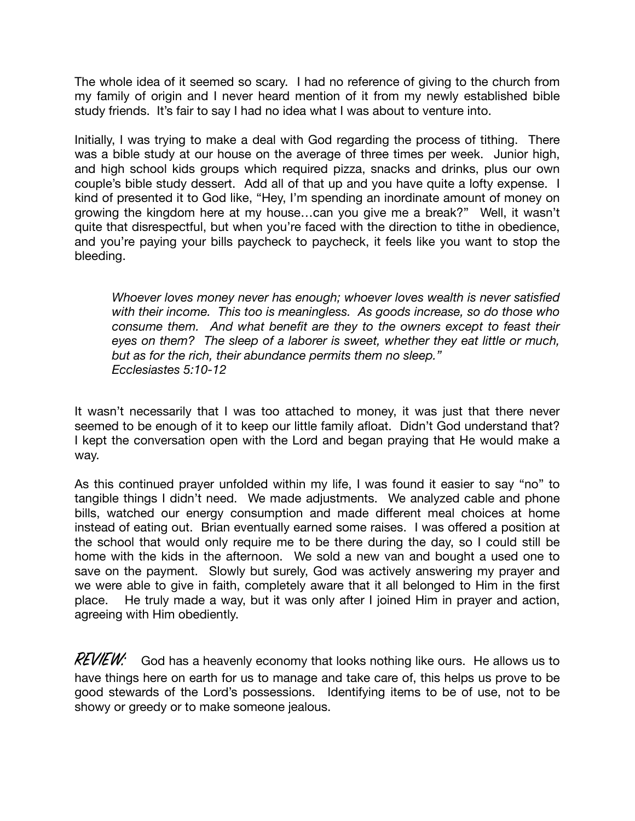The whole idea of it seemed so scary. I had no reference of giving to the church from my family of origin and I never heard mention of it from my newly established bible study friends. It's fair to say I had no idea what I was about to venture into.

Initially, I was trying to make a deal with God regarding the process of tithing. There was a bible study at our house on the average of three times per week. Junior high, and high school kids groups which required pizza, snacks and drinks, plus our own couple's bible study dessert. Add all of that up and you have quite a lofty expense. I kind of presented it to God like, "Hey, I'm spending an inordinate amount of money on growing the kingdom here at my house…can you give me a break?" Well, it wasn't quite that disrespectful, but when you're faced with the direction to tithe in obedience, and you're paying your bills paycheck to paycheck, it feels like you want to stop the bleeding.

*Whoever loves money never has enough; whoever loves wealth is never satisfied with their income. This too is meaningless. As goods increase, so do those who consume them. And what benefit are they to the owners except to feast their eyes on them? The sleep of a laborer is sweet, whether they eat little or much, but as for the rich, their abundance permits them no sleep." Ecclesiastes 5:10-12* 

It wasn't necessarily that I was too attached to money, it was just that there never seemed to be enough of it to keep our little family afloat. Didn't God understand that? I kept the conversation open with the Lord and began praying that He would make a way.

As this continued prayer unfolded within my life, I was found it easier to say "no" to tangible things I didn't need. We made adjustments. We analyzed cable and phone bills, watched our energy consumption and made different meal choices at home instead of eating out. Brian eventually earned some raises. I was offered a position at the school that would only require me to be there during the day, so I could still be home with the kids in the afternoon. We sold a new van and bought a used one to save on the payment. Slowly but surely, God was actively answering my prayer and we were able to give in faith, completely aware that it all belonged to Him in the first place. He truly made a way, but it was only after I joined Him in prayer and action, agreeing with Him obediently.

 $REVIEW:$  God has a heavenly economy that looks nothing like ours. He allows us to have things here on earth for us to manage and take care of, this helps us prove to be good stewards of the Lord's possessions. Identifying items to be of use, not to be showy or greedy or to make someone jealous.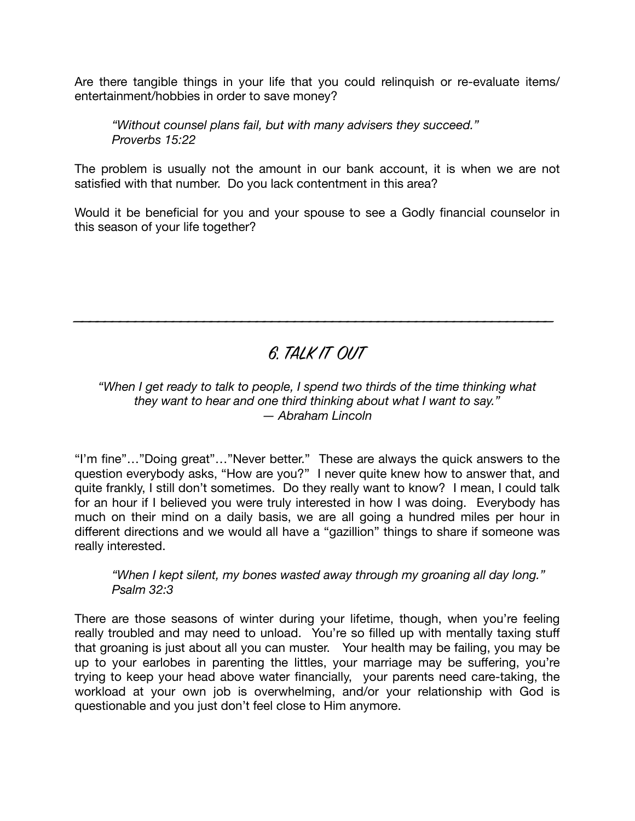Are there tangible things in your life that you could relinquish or re-evaluate items/ entertainment/hobbies in order to save money?

*"Without counsel plans fail, but with many advisers they succeed." Proverbs 15:22* 

The problem is usually not the amount in our bank account, it is when we are not satisfied with that number. Do you lack contentment in this area?

Would it be beneficial for you and your spouse to see a Godly financial counselor in this season of your life together?

# 6. TALK IT OUT

\_\_\_\_\_\_\_\_\_\_\_\_\_\_\_\_\_\_\_\_\_\_\_\_\_\_\_\_\_\_\_\_\_\_\_\_\_\_\_\_\_\_\_\_\_\_\_\_\_\_\_\_\_\_\_\_\_\_\_\_\_\_\_

#### *"When I get ready to talk to people, I spend two thirds of the time thinking what they want to hear and one third thinking about what I want to say." ― Abraham Lincoln*

"I'm fine"…"Doing great"…"Never better." These are always the quick answers to the question everybody asks, "How are you?" I never quite knew how to answer that, and quite frankly, I still don't sometimes. Do they really want to know? I mean, I could talk for an hour if I believed you were truly interested in how I was doing. Everybody has much on their mind on a daily basis, we are all going a hundred miles per hour in different directions and we would all have a "gazillion" things to share if someone was really interested.

*"When I kept silent, my bones wasted away through my groaning all day long." Psalm 32:3* 

There are those seasons of winter during your lifetime, though, when you're feeling really troubled and may need to unload. You're so filled up with mentally taxing stuff that groaning is just about all you can muster. Your health may be failing, you may be up to your earlobes in parenting the littles, your marriage may be suffering, you're trying to keep your head above water financially, your parents need care-taking, the workload at your own job is overwhelming, and/or your relationship with God is questionable and you just don't feel close to Him anymore.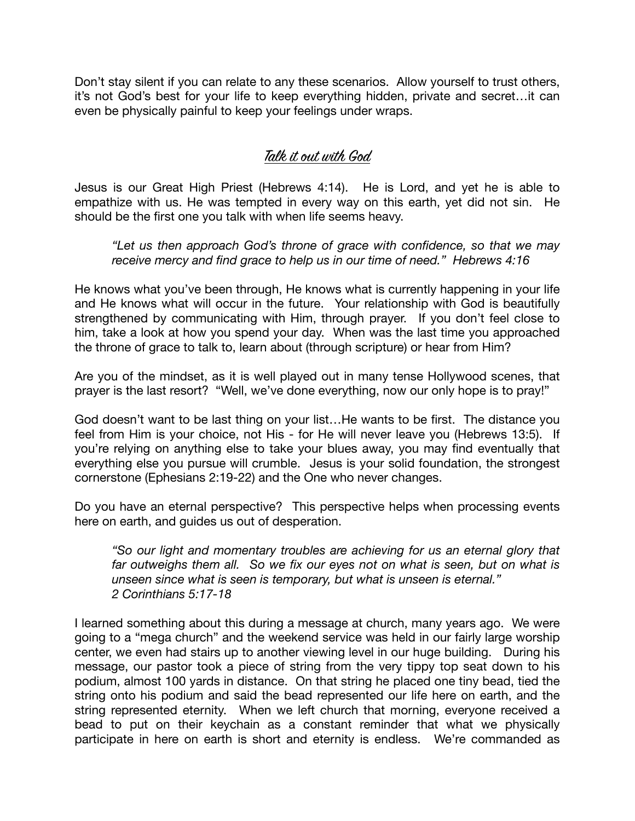Don't stay silent if you can relate to any these scenarios. Allow yourself to trust others, it's not God's best for your life to keep everything hidden, private and secret…it can even be physically painful to keep your feelings under wraps.

### Talk it out with God

Jesus is our Great High Priest (Hebrews 4:14). He is Lord, and yet he is able to empathize with us. He was tempted in every way on this earth, yet did not sin. He should be the first one you talk with when life seems heavy.

*"Let us then approach God's throne of grace with confidence, so that we may receive mercy and find grace to help us in our time of need." Hebrews 4:16* 

He knows what you've been through, He knows what is currently happening in your life and He knows what will occur in the future. Your relationship with God is beautifully strengthened by communicating with Him, through prayer. If you don't feel close to him, take a look at how you spend your day. When was the last time you approached the throne of grace to talk to, learn about (through scripture) or hear from Him?

Are you of the mindset, as it is well played out in many tense Hollywood scenes, that prayer is the last resort? "Well, we've done everything, now our only hope is to pray!"

God doesn't want to be last thing on your list…He wants to be first. The distance you feel from Him is your choice, not His - for He will never leave you (Hebrews 13:5). If you're relying on anything else to take your blues away, you may find eventually that everything else you pursue will crumble. Jesus is your solid foundation, the strongest cornerstone (Ephesians 2:19-22) and the One who never changes.

Do you have an eternal perspective? This perspective helps when processing events here on earth, and guides us out of desperation.

*"So our light and momentary troubles are achieving for us an eternal glory that far outweighs them all. So we fix our eyes not on what is seen, but on what is unseen since what is seen is temporary, but what is unseen is eternal." 2 Corinthians 5:17-18* 

I learned something about this during a message at church, many years ago. We were going to a "mega church" and the weekend service was held in our fairly large worship center, we even had stairs up to another viewing level in our huge building. During his message, our pastor took a piece of string from the very tippy top seat down to his podium, almost 100 yards in distance. On that string he placed one tiny bead, tied the string onto his podium and said the bead represented our life here on earth, and the string represented eternity. When we left church that morning, everyone received a bead to put on their keychain as a constant reminder that what we physically participate in here on earth is short and eternity is endless. We're commanded as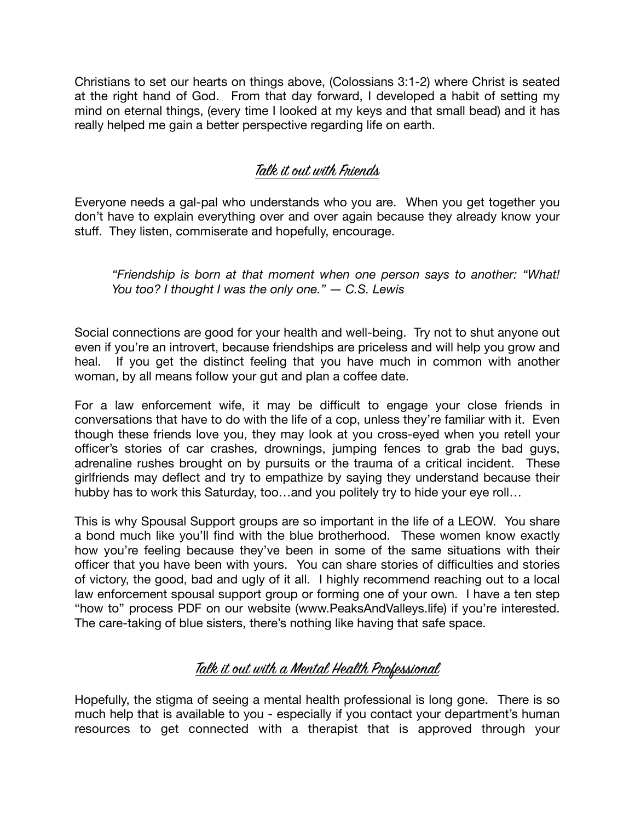Christians to set our hearts on things above, (Colossians 3:1-2) where Christ is seated at the right hand of God. From that day forward, I developed a habit of setting my mind on eternal things, (every time I looked at my keys and that small bead) and it has really helped me gain a better perspective regarding life on earth.

### Talk it out with Friends

Everyone needs a gal-pal who understands who you are. When you get together you don't have to explain everything over and over again because they already know your stuff. They listen, commiserate and hopefully, encourage.

*"Friendship is born at that moment when one person says to another: "What! You too? I thought I was the only one." ― C.S. Lewis* 

Social connections are good for your health and well-being. Try not to shut anyone out even if you're an introvert, because friendships are priceless and will help you grow and heal. If you get the distinct feeling that you have much in common with another woman, by all means follow your gut and plan a coffee date.

For a law enforcement wife, it may be difficult to engage your close friends in conversations that have to do with the life of a cop, unless they're familiar with it. Even though these friends love you, they may look at you cross-eyed when you retell your officer's stories of car crashes, drownings, jumping fences to grab the bad guys, adrenaline rushes brought on by pursuits or the trauma of a critical incident. These girlfriends may deflect and try to empathize by saying they understand because their hubby has to work this Saturday, too…and you politely try to hide your eye roll…

This is why Spousal Support groups are so important in the life of a LEOW. You share a bond much like you'll find with the blue brotherhood. These women know exactly how you're feeling because they've been in some of the same situations with their officer that you have been with yours. You can share stories of difficulties and stories of victory, the good, bad and ugly of it all. I highly recommend reaching out to a local law enforcement spousal support group or forming one of your own. I have a ten step "how to" process PDF on our website (www.PeaksAndValleys.life) if you're interested. The care-taking of blue sisters, there's nothing like having that safe space.

### Talk it out with a Mental Health Professional

Hopefully, the stigma of seeing a mental health professional is long gone. There is so much help that is available to you - especially if you contact your department's human resources to get connected with a therapist that is approved through your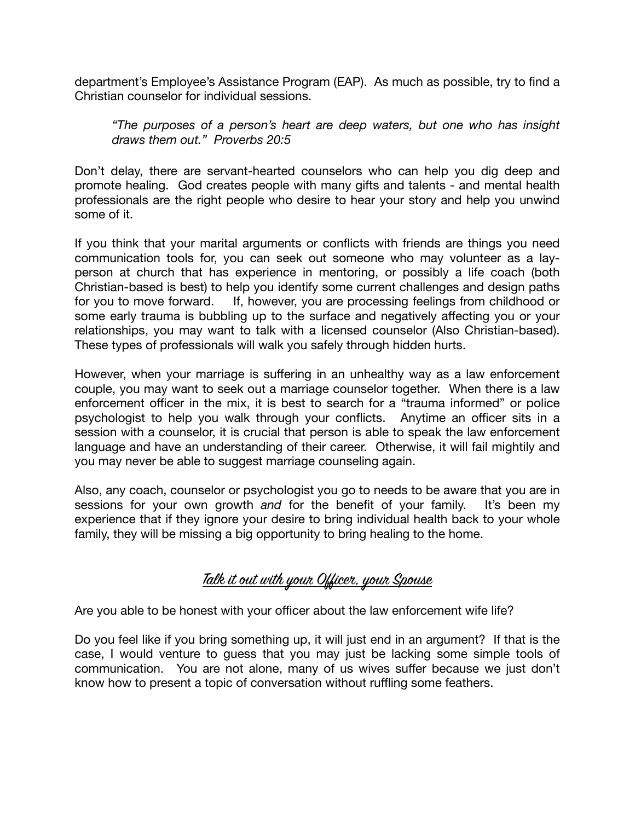department's Employee's Assistance Program (EAP). As much as possible, try to find a Christian counselor for individual sessions.

*"The purposes of a person's heart are deep waters, but one who has insight draws them out." Proverbs 20:5* 

Don't delay, there are servant-hearted counselors who can help you dig deep and promote healing. God creates people with many gifts and talents - and mental health professionals are the right people who desire to hear your story and help you unwind some of it.

If you think that your marital arguments or conflicts with friends are things you need communication tools for, you can seek out someone who may volunteer as a layperson at church that has experience in mentoring, or possibly a life coach (both Christian-based is best) to help you identify some current challenges and design paths for you to move forward. If, however, you are processing feelings from childhood or some early trauma is bubbling up to the surface and negatively affecting you or your relationships, you may want to talk with a licensed counselor (Also Christian-based). These types of professionals will walk you safely through hidden hurts.

However, when your marriage is suffering in an unhealthy way as a law enforcement couple, you may want to seek out a marriage counselor together. When there is a law enforcement officer in the mix, it is best to search for a "trauma informed" or police psychologist to help you walk through your conflicts. Anytime an officer sits in a session with a counselor, it is crucial that person is able to speak the law enforcement language and have an understanding of their career. Otherwise, it will fail mightily and you may never be able to suggest marriage counseling again.

Also, any coach, counselor or psychologist you go to needs to be aware that you are in sessions for your own growth *and* for the benefit of your family. It's been my experience that if they ignore your desire to bring individual health back to your whole family, they will be missing a big opportunity to bring healing to the home.

### Talk it out with your Officer, your Spouse

Are you able to be honest with your officer about the law enforcement wife life?

Do you feel like if you bring something up, it will just end in an argument? If that is the case, I would venture to guess that you may just be lacking some simple tools of communication. You are not alone, many of us wives suffer because we just don't know how to present a topic of conversation without ruffling some feathers.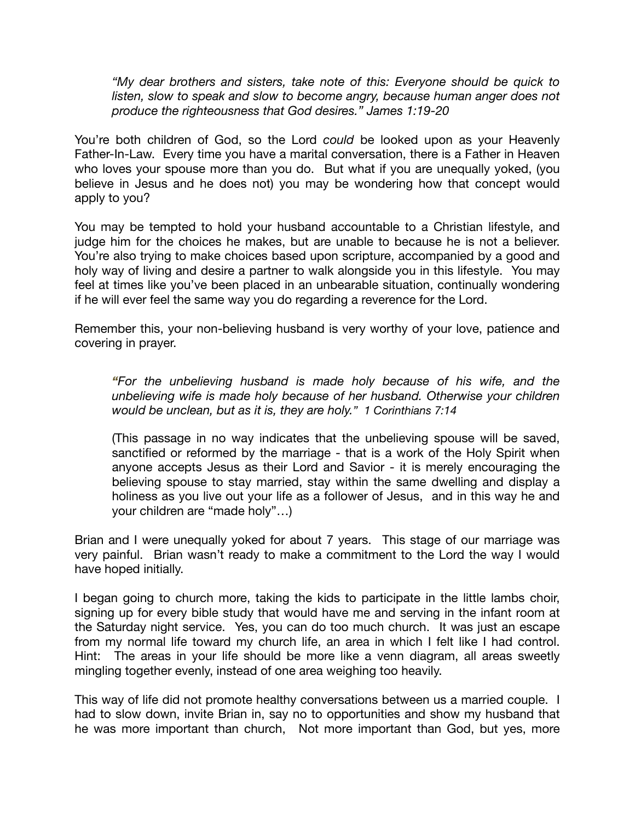*"My dear brothers and sisters, take note of this: Everyone should be quick to*  listen, slow to speak and slow to become angry, because human anger does not *produce the righteousness that God desires." James 1:19-20* 

You're both children of God, so the Lord *could* be looked upon as your Heavenly Father-In-Law. Every time you have a marital conversation, there is a Father in Heaven who loves your spouse more than you do. But what if you are unequally yoked, (you believe in Jesus and he does not) you may be wondering how that concept would apply to you?

You may be tempted to hold your husband accountable to a Christian lifestyle, and judge him for the choices he makes, but are unable to because he is not a believer. You're also trying to make choices based upon scripture, accompanied by a good and holy way of living and desire a partner to walk alongside you in this lifestyle. You may feel at times like you've been placed in an unbearable situation, continually wondering if he will ever feel the same way you do regarding a reverence for the Lord.

Remember this, your non-believing husband is very worthy of your love, patience and covering in prayer.

*"For the unbelieving husband is made holy because of his wife, and the unbelieving wife is made holy because of her husband. Otherwise your children would be unclean, but as it is, they are holy." 1 Corinthians 7:14* 

(This passage in no way indicates that the unbelieving spouse will be saved, sanctified or reformed by the marriage - that is a work of the Holy Spirit when anyone accepts Jesus as their Lord and Savior - it is merely encouraging the believing spouse to stay married, stay within the same dwelling and display a holiness as you live out your life as a follower of Jesus, and in this way he and your children are "made holy"…)

Brian and I were unequally yoked for about 7 years. This stage of our marriage was very painful. Brian wasn't ready to make a commitment to the Lord the way I would have hoped initially.

I began going to church more, taking the kids to participate in the little lambs choir, signing up for every bible study that would have me and serving in the infant room at the Saturday night service. Yes, you can do too much church. It was just an escape from my normal life toward my church life, an area in which I felt like I had control. Hint: The areas in your life should be more like a venn diagram, all areas sweetly mingling together evenly, instead of one area weighing too heavily.

This way of life did not promote healthy conversations between us a married couple. I had to slow down, invite Brian in, say no to opportunities and show my husband that he was more important than church, Not more important than God, but yes, more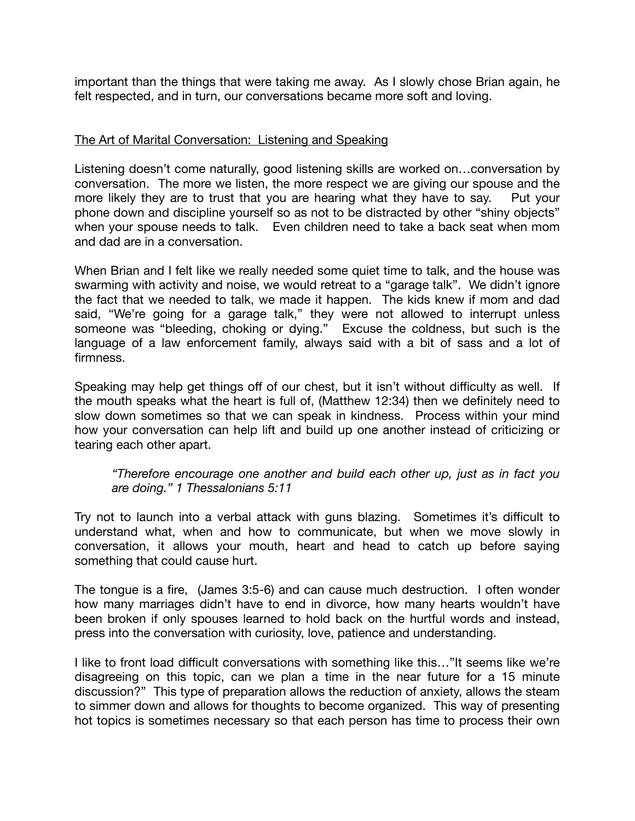important than the things that were taking me away. As I slowly chose Brian again, he felt respected, and in turn, our conversations became more soft and loving.

#### The Art of Marital Conversation: Listening and Speaking

Listening doesn't come naturally, good listening skills are worked on…conversation by conversation. The more we listen, the more respect we are giving our spouse and the more likely they are to trust that you are hearing what they have to say. Put your phone down and discipline yourself so as not to be distracted by other "shiny objects" when your spouse needs to talk. Even children need to take a back seat when mom and dad are in a conversation.

When Brian and I felt like we really needed some quiet time to talk, and the house was swarming with activity and noise, we would retreat to a "garage talk". We didn't ignore the fact that we needed to talk, we made it happen. The kids knew if mom and dad said, "We're going for a garage talk," they were not allowed to interrupt unless someone was "bleeding, choking or dying." Excuse the coldness, but such is the language of a law enforcement family, always said with a bit of sass and a lot of firmness.

Speaking may help get things off of our chest, but it isn't without difficulty as well. If the mouth speaks what the heart is full of, (Matthew 12:34) then we definitely need to slow down sometimes so that we can speak in kindness. Process within your mind how your conversation can help lift and build up one another instead of criticizing or tearing each other apart.

*"Therefore encourage one another and build each other up, just as in fact you are doing." 1 Thessalonians 5:11* 

Try not to launch into a verbal attack with guns blazing. Sometimes it's difficult to understand what, when and how to communicate, but when we move slowly in conversation, it allows your mouth, heart and head to catch up before saying something that could cause hurt.

The tongue is a fire, (James 3:5-6) and can cause much destruction. I often wonder how many marriages didn't have to end in divorce, how many hearts wouldn't have been broken if only spouses learned to hold back on the hurtful words and instead, press into the conversation with curiosity, love, patience and understanding.

I like to front load difficult conversations with something like this…"It seems like we're disagreeing on this topic, can we plan a time in the near future for a 15 minute discussion?" This type of preparation allows the reduction of anxiety, allows the steam to simmer down and allows for thoughts to become organized. This way of presenting hot topics is sometimes necessary so that each person has time to process their own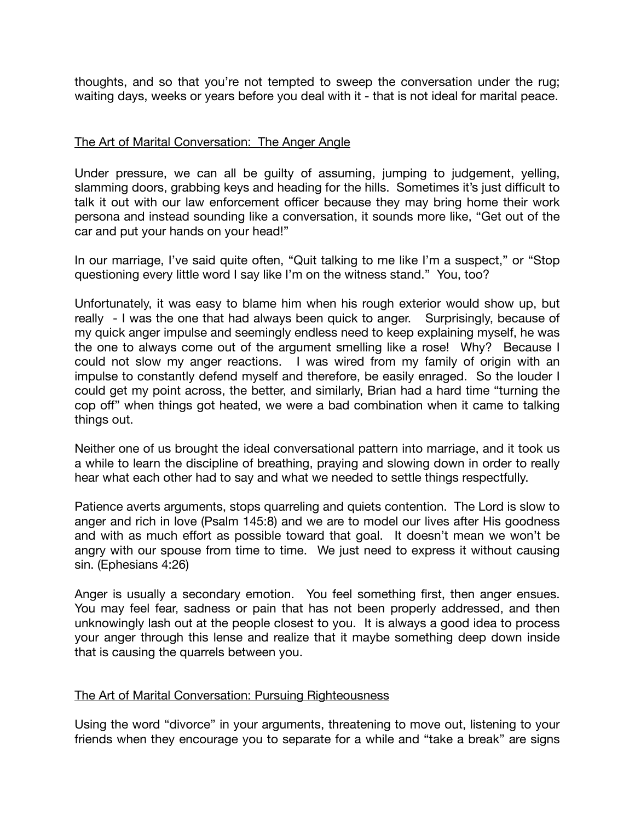thoughts, and so that you're not tempted to sweep the conversation under the rug; waiting days, weeks or years before you deal with it - that is not ideal for marital peace.

#### The Art of Marital Conversation: The Anger Angle

Under pressure, we can all be guilty of assuming, jumping to judgement, yelling, slamming doors, grabbing keys and heading for the hills. Sometimes it's just difficult to talk it out with our law enforcement officer because they may bring home their work persona and instead sounding like a conversation, it sounds more like, "Get out of the car and put your hands on your head!"

In our marriage, I've said quite often, "Quit talking to me like I'm a suspect," or "Stop questioning every little word I say like I'm on the witness stand." You, too?

Unfortunately, it was easy to blame him when his rough exterior would show up, but really - I was the one that had always been quick to anger. Surprisingly, because of my quick anger impulse and seemingly endless need to keep explaining myself, he was the one to always come out of the argument smelling like a rose! Why? Because I could not slow my anger reactions. I was wired from my family of origin with an impulse to constantly defend myself and therefore, be easily enraged. So the louder I could get my point across, the better, and similarly, Brian had a hard time "turning the cop off" when things got heated, we were a bad combination when it came to talking things out.

Neither one of us brought the ideal conversational pattern into marriage, and it took us a while to learn the discipline of breathing, praying and slowing down in order to really hear what each other had to say and what we needed to settle things respectfully.

Patience averts arguments, stops quarreling and quiets contention. The Lord is slow to anger and rich in love (Psalm 145:8) and we are to model our lives after His goodness and with as much effort as possible toward that goal. It doesn't mean we won't be angry with our spouse from time to time. We just need to express it without causing sin. (Ephesians 4:26)

Anger is usually a secondary emotion. You feel something first, then anger ensues. You may feel fear, sadness or pain that has not been properly addressed, and then unknowingly lash out at the people closest to you. It is always a good idea to process your anger through this lense and realize that it maybe something deep down inside that is causing the quarrels between you.

#### The Art of Marital Conversation: Pursuing Righteousness

Using the word "divorce" in your arguments, threatening to move out, listening to your friends when they encourage you to separate for a while and "take a break" are signs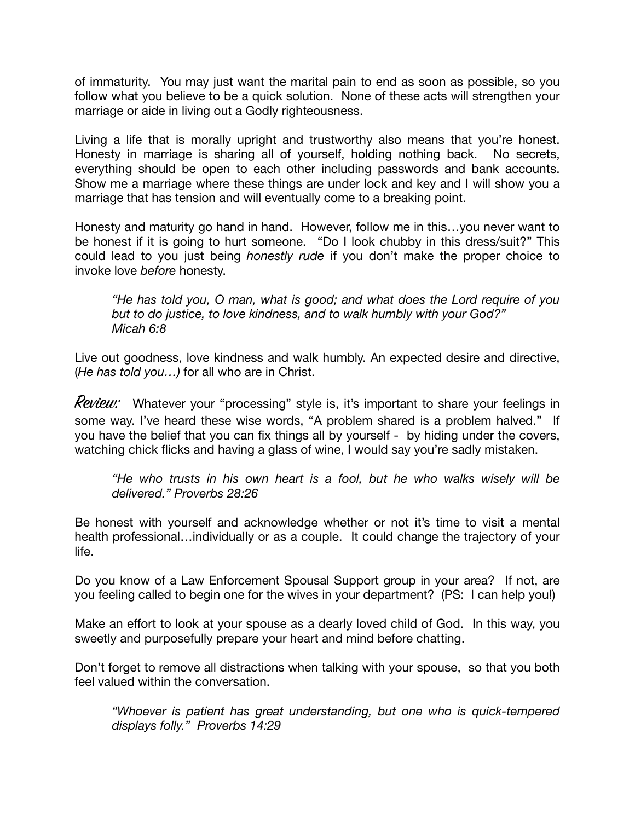of immaturity. You may just want the marital pain to end as soon as possible, so you follow what you believe to be a quick solution. None of these acts will strengthen your marriage or aide in living out a Godly righteousness.

Living a life that is morally upright and trustworthy also means that you're honest. Honesty in marriage is sharing all of yourself, holding nothing back. No secrets, everything should be open to each other including passwords and bank accounts. Show me a marriage where these things are under lock and key and I will show you a marriage that has tension and will eventually come to a breaking point.

Honesty and maturity go hand in hand. However, follow me in this…you never want to be honest if it is going to hurt someone. "Do I look chubby in this dress/suit?" This could lead to you just being *honestly rude* if you don't make the proper choice to invoke love *before* honesty.

*"He has told you, O man, what is good; and what does the Lord require of you but to do justice, to love kindness, and to walk humbly with your God?" Micah 6:8* 

Live out goodness, love kindness and walk humbly. An expected desire and directive, (*He has told you…)* for all who are in Christ.

**Review:** Whatever your "processing" style is, it's important to share your feelings in some way. I've heard these wise words, "A problem shared is a problem halved." If you have the belief that you can fix things all by yourself - by hiding under the covers, watching chick flicks and having a glass of wine, I would say you're sadly mistaken.

*"He who trusts in his own heart is a fool, but he who walks wisely will be delivered." Proverbs 28:26* 

Be honest with yourself and acknowledge whether or not it's time to visit a mental health professional…individually or as a couple. It could change the trajectory of your life.

Do you know of a Law Enforcement Spousal Support group in your area? If not, are you feeling called to begin one for the wives in your department? (PS: I can help you!)

Make an effort to look at your spouse as a dearly loved child of God. In this way, you sweetly and purposefully prepare your heart and mind before chatting.

Don't forget to remove all distractions when talking with your spouse, so that you both feel valued within the conversation.

*"Whoever is patient has great understanding, but one who is quick-tempered displays folly." Proverbs 14:29*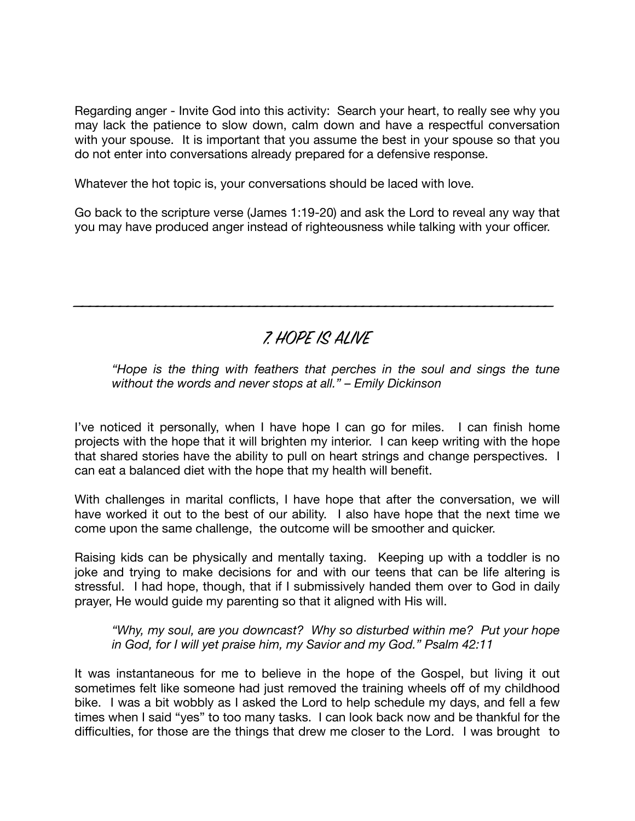Regarding anger - Invite God into this activity: Search your heart, to really see why you may lack the patience to slow down, calm down and have a respectful conversation with your spouse. It is important that you assume the best in your spouse so that you do not enter into conversations already prepared for a defensive response.

Whatever the hot topic is, your conversations should be laced with love.

Go back to the scripture verse (James 1:19-20) and ask the Lord to reveal any way that you may have produced anger instead of righteousness while talking with your officer.

## 7. HOPE IS ALIVE

\_\_\_\_\_\_\_\_\_\_\_\_\_\_\_\_\_\_\_\_\_\_\_\_\_\_\_\_\_\_\_\_\_\_\_\_\_\_\_\_\_\_\_\_\_\_\_\_\_\_\_\_\_\_\_\_\_\_\_\_\_\_\_

*"Hope is the thing with feathers that perches in the soul and sings the tune without the words and never stops at all." – Emily Dickinson* 

I've noticed it personally, when I have hope I can go for miles. I can finish home projects with the hope that it will brighten my interior. I can keep writing with the hope that shared stories have the ability to pull on heart strings and change perspectives. I can eat a balanced diet with the hope that my health will benefit.

With challenges in marital conflicts, I have hope that after the conversation, we will have worked it out to the best of our ability. I also have hope that the next time we come upon the same challenge, the outcome will be smoother and quicker.

Raising kids can be physically and mentally taxing. Keeping up with a toddler is no joke and trying to make decisions for and with our teens that can be life altering is stressful. I had hope, though, that if I submissively handed them over to God in daily prayer, He would guide my parenting so that it aligned with His will.

*"Why, my soul, are you downcast? Why so disturbed within me? Put your hope in God, for I will yet praise him, my Savior and my God." Psalm 42:11* 

It was instantaneous for me to believe in the hope of the Gospel, but living it out sometimes felt like someone had just removed the training wheels off of my childhood bike. I was a bit wobbly as I asked the Lord to help schedule my days, and fell a few times when I said "yes" to too many tasks. I can look back now and be thankful for the difficulties, for those are the things that drew me closer to the Lord. I was brought to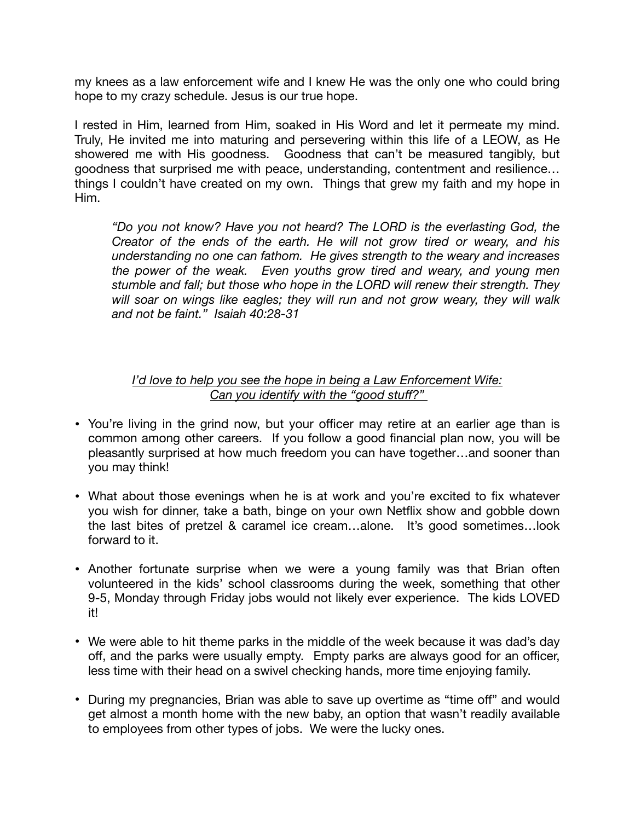my knees as a law enforcement wife and I knew He was the only one who could bring hope to my crazy schedule. Jesus is our true hope.

I rested in Him, learned from Him, soaked in His Word and let it permeate my mind. Truly, He invited me into maturing and persevering within this life of a LEOW, as He showered me with His goodness. Goodness that can't be measured tangibly, but goodness that surprised me with peace, understanding, contentment and resilience… things I couldn't have created on my own. Things that grew my faith and my hope in Him.

*"Do you not know? Have you not heard? The LORD is the everlasting God, the Creator of the ends of the earth. He will not grow tired or weary, and his understanding no one can fathom. He gives strength to the weary and increases the power of the weak. Even youths grow tired and weary, and young men stumble and fall; but those who hope in the LORD will renew their strength. They will soar on wings like eagles; they will run and not grow weary, they will walk and not be faint." Isaiah 40:28-31* 

#### *I'd love to help you see the hope in being a Law Enforcement Wife: Can you identify with the "good stuff?"*

- You're living in the grind now, but your officer may retire at an earlier age than is common among other careers. If you follow a good financial plan now, you will be pleasantly surprised at how much freedom you can have together…and sooner than you may think!
- What about those evenings when he is at work and you're excited to fix whatever you wish for dinner, take a bath, binge on your own Netflix show and gobble down the last bites of pretzel & caramel ice cream…alone. It's good sometimes…look forward to it.
- Another fortunate surprise when we were a young family was that Brian often volunteered in the kids' school classrooms during the week, something that other 9-5, Monday through Friday jobs would not likely ever experience. The kids LOVED it!
- We were able to hit theme parks in the middle of the week because it was dad's day off, and the parks were usually empty. Empty parks are always good for an officer, less time with their head on a swivel checking hands, more time enjoying family.
- During my pregnancies, Brian was able to save up overtime as "time off" and would get almost a month home with the new baby, an option that wasn't readily available to employees from other types of jobs. We were the lucky ones.